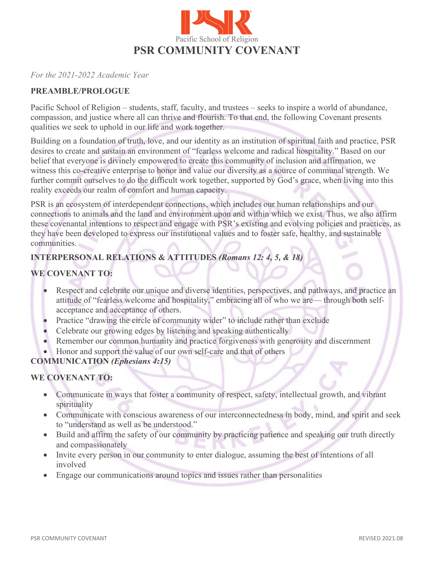

*For the 2021-2022 Academic Year* 

### **PREAMBLE/PROLOGUE**

Pacific School of Religion – students, staff, faculty, and trustees – seeks to inspire a world of abundance, compassion, and justice where all can thrive and flourish. To that end, the following Covenant presents qualities we seek to uphold in our life and work together.

Building on a foundation of truth, love, and our identity as an institution of spiritual faith and practice, PSR desires to create and sustain an environment of "fearless welcome and radical hospitality." Based on our belief that everyone is divinely empowered to create this community of inclusion and affirmation, we witness this co-creative enterprise to honor and value our diversity as a source of communal strength. We further commit ourselves to do the difficult work together, supported by God's grace, when living into this reality exceeds our realm of comfort and human capacity.

PSR is an ecosystem of interdependent connections, which includes our human relationships and our connections to animals and the land and environment upon and within which we exist. Thus, we also affirm these covenantal intentions to respect and engage with PSR's existing and evolving policies and practices, as they have been developed to express our institutional values and to foster safe, healthy, and sustainable communities.

# **INTERPERSONAL RELATIONS & ATTITUDES** *(Romans 12: 4, 5, & 18)*

## **WE COVENANT TO:**

- Respect and celebrate our unique and diverse identities, perspectives, and pathways, and practice an attitude of "fearless welcome and hospitality," embracing all of who we are— through both selfacceptance and acceptance of others.
- Practice "drawing the circle of community wider" to include rather than exclude
- Celebrate our growing edges by listening and speaking authentically
- Remember our common humanity and practice forgiveness with generosity and discernment
- Honor and support the value of our own self-care and that of others

# **COMMUNICATION** *(Ephesians 4:15)*

# **WE COVENANT TO:**

- Communicate in ways that foster a community of respect, safety, intellectual growth, and vibrant spirituality
- Communicate with conscious awareness of our interconnectedness in body, mind, and spirit and seek to "understand as well as be understood."
- Build and affirm the safety of our community by practicing patience and speaking our truth directly and compassionately
- Invite every person in our community to enter dialogue, assuming the best of intentions of all involved
- Engage our communications around topics and issues rather than personalities